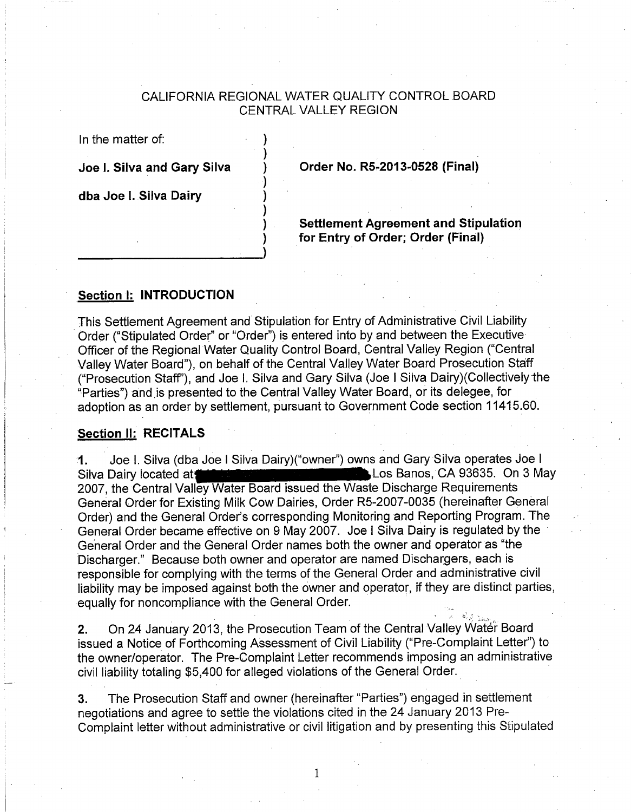#### CALIFORNIA REGIONAL WATER QUALITY CONTROL BOARD **CENTRAL VALLEY REGION**

In the matter of:

Joe I. Silva and Gary Silva

Order No. R5-2013-0528 (Final)

dba Joe I. Silva Dairy

**Settlement Agreement and Stipulation** for Entry of Order; Order (Final)

#### Section I: INTRODUCTION

This Settlement Agreement and Stipulation for Entry of Administrative Civil Liability Order ("Stipulated Order" or "Order") is entered into by and between the Executive Officer of the Regional Water Quality Control Board, Central Valley Region ("Central Valley Water Board"), on behalf of the Central Valley Water Board Prosecution Staff ("Prosecution Staff"), and Joe I. Silva and Gary Silva (Joe I Silva Dairy) (Collectively the "Parties") and is presented to the Central Valley Water Board, or its delegee, for adoption as an order by settlement, pursuant to Government Code section 11415.60.

#### **Section II: RECITALS**

Joe I. Silva (dba Joe I Silva Dairy)("owner") owns and Gary Silva operates Joe I 1. Los Banos, CA 93635. On 3 May Silva Dairy located at 2007, the Central Valley Water Board issued the Waste Discharge Requirements General Order for Existing Milk Cow Dairies, Order R5-2007-0035 (hereinafter General Order) and the General Order's corresponding Monitoring and Reporting Program. The General Order became effective on 9 May 2007. Joe I Silva Dairy is regulated by the General Order and the General Order names both the owner and operator as "the Discharger." Because both owner and operator are named Dischargers, each is responsible for complying with the terms of the General Order and administrative civil liability may be imposed against both the owner and operator, if they are distinct parties, equally for noncompliance with the General Order.

On 24 January 2013, the Prosecution Team of the Central Valley Water Board  $2.$ issued a Notice of Forthcoming Assessment of Civil Liability ("Pre-Complaint Letter") to the owner/operator. The Pre-Complaint Letter recommends imposing an administrative civil liability totaling \$5,400 for alleged violations of the General Order.

 $3.$ The Prosecution Staff and owner (hereinafter "Parties") engaged in settlement negotiations and agree to settle the violations cited in the 24 January 2013 Pre-Complaint letter without administrative or civil litigation and by presenting this Stipulated

 $\mathbf{1}$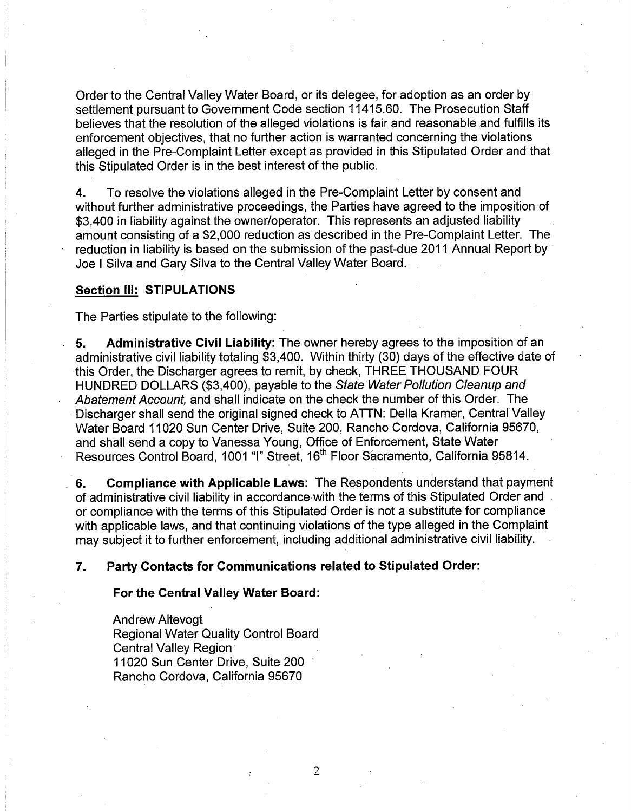Order to the Central Valley Water Board, or its delegee, for adoption as an order by settlement pursuant to Government Code section 11415.60. The Prosecution Staff believes that the resolution of the alleged violations is fair and reasonable and fulfills its enforcement objectives, that no further action is warranted concerning the violations alleged in the Pre-Complaint Letter except as provided in this Stipulated Order and that this Stipulated Order is in the best interest of the public.

To resolve the violations alleged in the Pre-Complaint Letter by consent and 4. without further administrative proceedings, the Parties have agreed to the imposition of \$3.400 in liability against the owner/operator. This represents an adjusted liability amount consisting of a \$2,000 reduction as described in the Pre-Complaint Letter. The reduction in liability is based on the submission of the past-due 2011 Annual Report by Joe I Silva and Gary Silva to the Central Valley Water Board.

#### **Section III: STIPULATIONS**

The Parties stipulate to the following:

Administrative Civil Liability: The owner hereby agrees to the imposition of an 5. administrative civil liability totaling \$3,400. Within thirty (30) days of the effective date of this Order, the Discharger agrees to remit, by check, THREE THOUSAND FOUR HUNDRED DOLLARS (\$3,400), payable to the State Water Pollution Cleanup and Abatement Account, and shall indicate on the check the number of this Order. The Discharger shall send the original signed check to ATTN: Della Kramer, Central Valley Water Board 11020 Sun Center Drive, Suite 200, Rancho Cordova, California 95670, and shall send a copy to Vanessa Young, Office of Enforcement, State Water Resources Control Board, 1001 "I" Street, 16<sup>th</sup> Floor Sacramento, California 95814.

**Compliance with Applicable Laws: The Respondents understand that payment** 6. of administrative civil liability in accordance with the terms of this Stipulated Order and or compliance with the terms of this Stipulated Order is not a substitute for compliance with applicable laws, and that continuing violations of the type alleged in the Complaint may subject it to further enforcement, including additional administrative civil liability.

#### Party Contacts for Communications related to Stipulated Order: 7.

For the Central Valley Water Board:

**Andrew Altevoat Regional Water Quality Control Board Central Valley Region** 11020 Sun Center Drive, Suite 200 Rancho Cordova, California 95670

 $\overline{2}$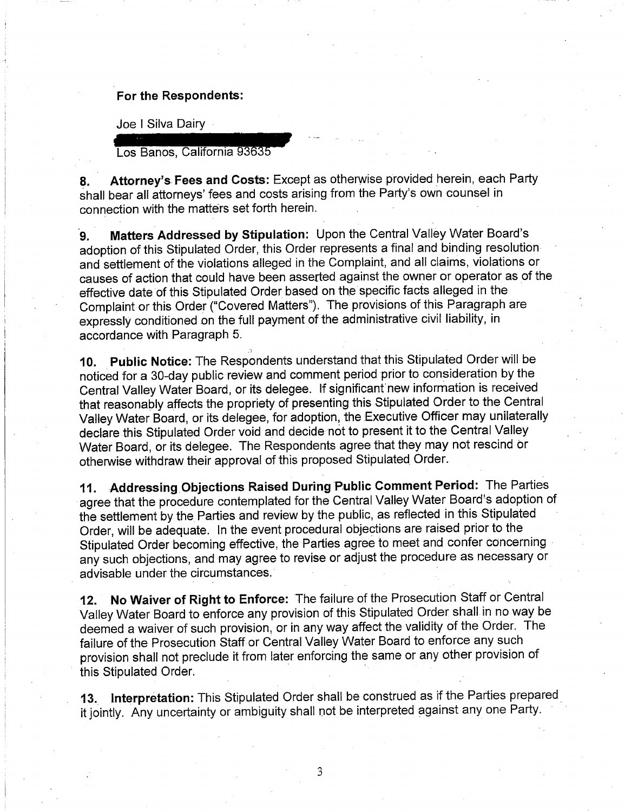#### For the Respondents:

Joe I Silva Dairy

Los Banos, California 93635

Attorney's Fees and Costs: Except as otherwise provided herein, each Party 8. shall bear all attorneys' fees and costs arising from the Party's own counsel in connection with the matters set forth herein.

Matters Addressed by Stipulation: Upon the Central Valley Water Board's  $\mathbf{Q}_{\perp}$ adoption of this Stipulated Order, this Order represents a final and binding resolution and settlement of the violations alleged in the Complaint, and all claims, violations or causes of action that could have been asserted against the owner or operator as of the effective date of this Stipulated Order based on the specific facts alleged in the Complaint or this Order ("Covered Matters"). The provisions of this Paragraph are expressly conditioned on the full payment of the administrative civil liability, in accordance with Paragraph 5.

10. Public Notice: The Respondents understand that this Stipulated Order will be noticed for a 30-day public review and comment period prior to consideration by the Central Valley Water Board, or its delegee. If significant new information is received that reasonably affects the propriety of presenting this Stipulated Order to the Central Valley Water Board, or its delegee, for adoption, the Executive Officer may unilaterally declare this Stipulated Order void and decide not to present it to the Central Valley Water Board, or its delegee. The Respondents agree that they may not rescind or otherwise withdraw their approval of this proposed Stipulated Order.

Addressing Objections Raised During Public Comment Period: The Parties 11. agree that the procedure contemplated for the Central Valley Water Board's adoption of the settlement by the Parties and review by the public, as reflected in this Stipulated Order, will be adequate. In the event procedural objections are raised prior to the Stipulated Order becoming effective, the Parties agree to meet and confer concerning any such objections, and may agree to revise or adjust the procedure as necessary or advisable under the circumstances.

No Waiver of Right to Enforce: The failure of the Prosecution Staff or Central 12. Valley Water Board to enforce any provision of this Stipulated Order shall in no way be deemed a waiver of such provision, or in any way affect the validity of the Order. The failure of the Prosecution Staff or Central Valley Water Board to enforce any such provision shall not preclude it from later enforcing the same or any other provision of this Stipulated Order.

Interpretation: This Stipulated Order shall be construed as if the Parties prepared 13. it jointly. Any uncertainty or ambiguity shall not be interpreted against any one Party.

3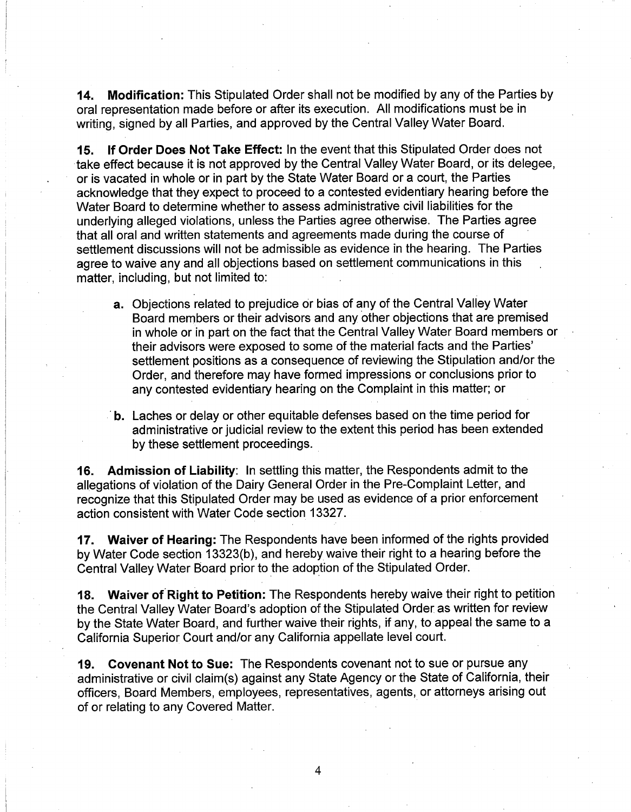Modification: This Stipulated Order shall not be modified by any of the Parties by  $14.$ oral representation made before or after its execution. All modifications must be in writing, signed by all Parties, and approved by the Central Valley Water Board.

If Order Does Not Take Effect: In the event that this Stipulated Order does not  $15.$ take effect because it is not approved by the Central Valley Water Board, or its delegee, or is vacated in whole or in part by the State Water Board or a court, the Parties acknowledge that they expect to proceed to a contested evidentiary hearing before the Water Board to determine whether to assess administrative civil liabilities for the underlying alleged violations, unless the Parties agree otherwise. The Parties agree that all oral and written statements and agreements made during the course of settlement discussions will not be admissible as evidence in the hearing. The Parties agree to waive any and all objections based on settlement communications in this matter, including, but not limited to:

- a. Objections related to prejudice or bias of any of the Central Valley Water Board members or their advisors and any other objections that are premised in whole or in part on the fact that the Central Valley Water Board members or their advisors were exposed to some of the material facts and the Parties' settlement positions as a consequence of reviewing the Stipulation and/or the Order, and therefore may have formed impressions or conclusions prior to any contested evidentiary hearing on the Complaint in this matter; or
- b. Laches or delay or other equitable defenses based on the time period for administrative or judicial review to the extent this period has been extended by these settlement proceedings.

Admission of Liability: In settling this matter, the Respondents admit to the 16. allegations of violation of the Dairy General Order in the Pre-Complaint Letter, and recognize that this Stipulated Order may be used as evidence of a prior enforcement action consistent with Water Code section 13327.

17. Waiver of Hearing: The Respondents have been informed of the rights provided by Water Code section 13323(b), and hereby waive their right to a hearing before the Central Valley Water Board prior to the adoption of the Stipulated Order.

Waiver of Right to Petition: The Respondents hereby waive their right to petition 18. the Central Valley Water Board's adoption of the Stipulated Order as written for review by the State Water Board, and further waive their rights, if any, to appeal the same to a California Superior Court and/or any California appellate level court.

19. Covenant Not to Sue: The Respondents covenant not to sue or pursue any administrative or civil claim(s) against any State Agency or the State of California, their officers. Board Members, employees, representatives, agents, or attorneys arising out of or relating to any Covered Matter.

4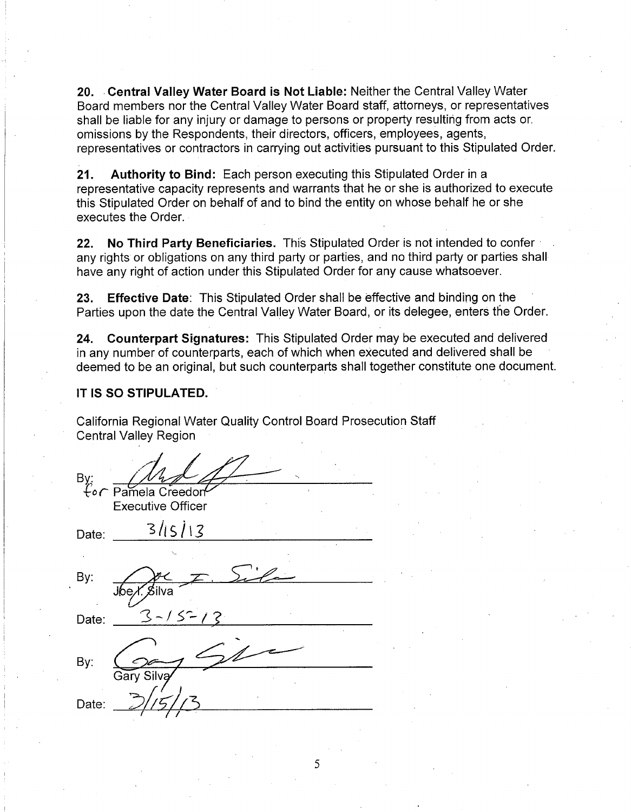20. Central Valley Water Board is Not Liable: Neither the Central Valley Water Board members nor the Central Valley Water Board staff, attorneys, or representatives shall be liable for any injury or damage to persons or property resulting from acts or. omissions by the Respondents, their directors, officers, employees, agents, representatives or contractors in carrying out activities pursuant to this Stipulated Order.

 $21.$ Authority to Bind: Each person executing this Stipulated Order in a representative capacity represents and warrants that he or she is authorized to execute this Stipulated Order on behalf of and to bind the entity on whose behalf he or she executes the Order.

 $22.$ No Third Party Beneficiaries. This Stipulated Order is not intended to confer any rights or obligations on any third party or parties, and no third party or parties shall have any right of action under this Stipulated Order for any cause whatsoever.

Effective Date: This Stipulated Order shall be effective and binding on the 23. Parties upon the date the Central Valley Water Board, or its delegee, enters the Order.

**Counterpart Signatures:** This Stipulated Order may be executed and delivered 24. in any number of counterparts, each of which when executed and delivered shall be deemed to be an original, but such counterparts shall together constitute one document.

#### IT IS SO STIPULATED.

California Regional Water Quality Control Board Prosecution Staff **Central Valley Region** 

| By:<br>$\overline{\mathcal{L}} \circ \overline{\mathcal{L}}$ | Pamela Creedon<br><b>Executive Officer</b> |  |
|--------------------------------------------------------------|--------------------------------------------|--|
| Date:                                                        | 3115113                                    |  |
|                                                              |                                            |  |
| By:                                                          |                                            |  |
|                                                              | ِ <i>≸</i> ilva                            |  |
| Date:                                                        | $3 - 15 - 13$                              |  |
|                                                              |                                            |  |
| By:                                                          |                                            |  |
|                                                              | Gary Silva                                 |  |
| Date:                                                        |                                            |  |
|                                                              |                                            |  |

5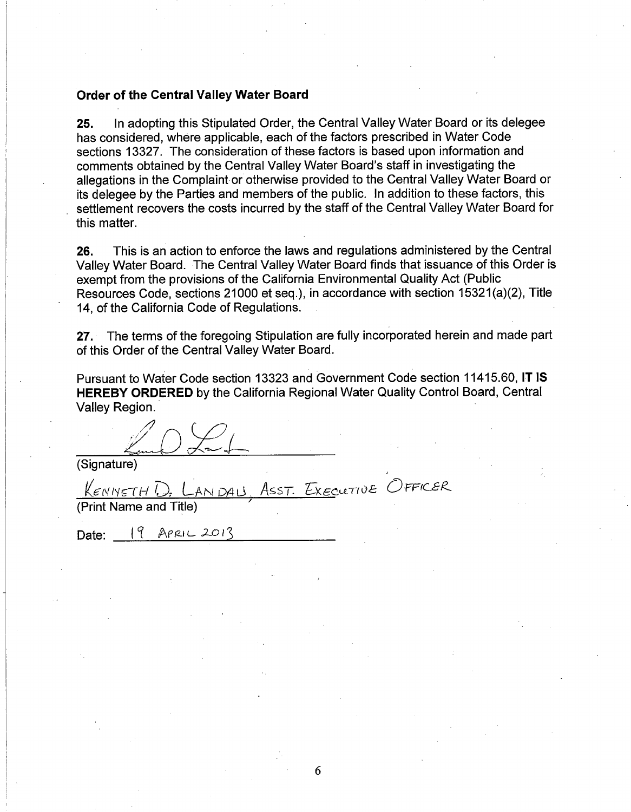#### **Order of the Central Valley Water Board**

In adopting this Stipulated Order, the Central Valley Water Board or its delegee 25. has considered, where applicable, each of the factors prescribed in Water Code sections 13327. The consideration of these factors is based upon information and comments obtained by the Central Valley Water Board's staff in investigating the allegations in the Complaint or otherwise provided to the Central Valley Water Board or its delegee by the Parties and members of the public. In addition to these factors, this settlement recovers the costs incurred by the staff of the Central Valley Water Board for this matter.

This is an action to enforce the laws and regulations administered by the Central 26. Valley Water Board. The Central Valley Water Board finds that issuance of this Order is exempt from the provisions of the California Environmental Quality Act (Public Resources Code, sections 21000 et seq.), in accordance with section 15321(a)(2), Title 14. of the California Code of Regulations.

27. The terms of the foregoing Stipulation are fully incorporated herein and made part of this Order of the Central Valley Water Board.

Pursuant to Water Code section 13323 and Government Code section 11415.60, IT IS HEREBY ORDERED by the California Regional Water Quality Control Board, Central Valley Region.

ASST. EXECUTIVE OFFICER

(Signature)

 $K$ ENNETH $E$ ANDAU

(Print Name and Title)

Date: 19 APRIL 2013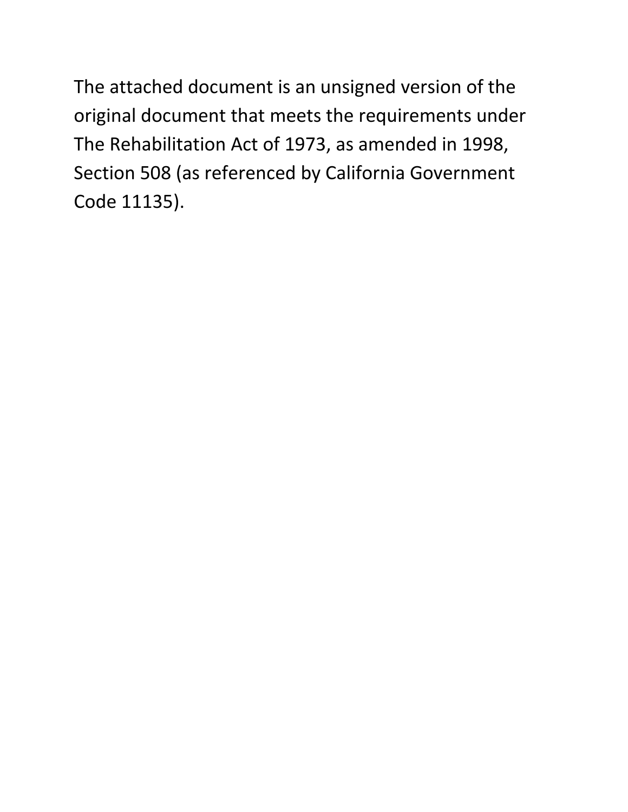The attached document is an unsigned version of the original document that meets the requirements under The Rehabilitation Act of 1973, as amended in 1998, Section 508 (as referenced by California Government Code 11135).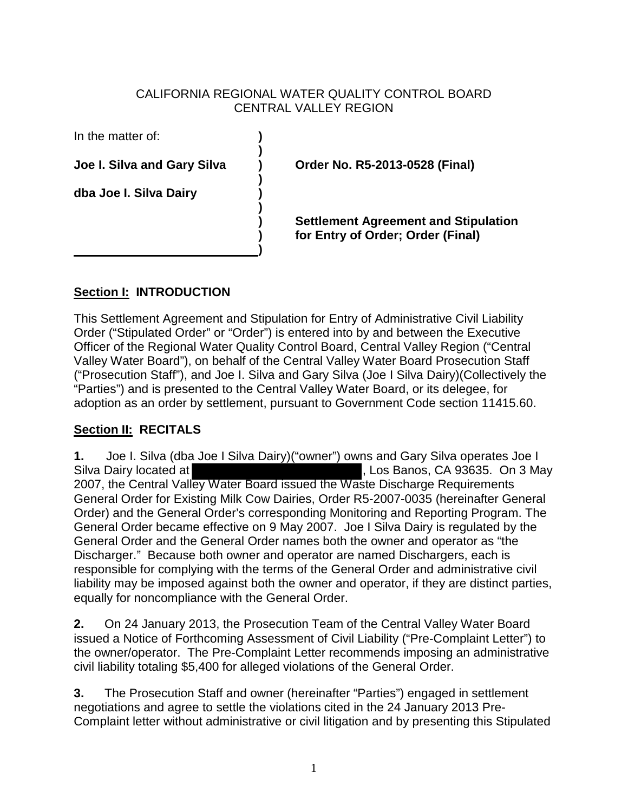### CALIFORNIA REGIONAL WATER QUALITY CONTROL BOARD CENTRAL VALLEY REGION

In the matter of: **)**

**)** 

 **)** 

 **)** 

 **) dba Joe I. Silva Dairy )** 

**Joe I. Silva and Gary Silva ) Order No. R5-2013-0528 (Final)** 

 **) Settlement Agreement and Stipulation ) for Entry of Order; Order (Final)** 

# **Section I: INTRODUCTION**

This Settlement Agreement and Stipulation for Entry of Administrative Civil Liability Order ("Stipulated Order" or "Order") is entered into by and between the Executive Officer of the Regional Water Quality Control Board, Central Valley Region ("Central Valley Water Board"), on behalf of the Central Valley Water Board Prosecution Staff ("Prosecution Staff"), and Joe I. Silva and Gary Silva (Joe I Silva Dairy)(Collectively the "Parties") and is presented to the Central Valley Water Board, or its delegee, for adoption as an order by settlement, pursuant to Government Code section 11415.60.

# **Section II: RECITALS**

**1.** Joe I. Silva (dba Joe I Silva Dairy)("owner") owns and Gary Silva operates Joe I , Los Banos, CA 93635. On 3 May 2007, the Central Valley Water Board issued the Waste Discharge Requirements General Order for Existing Milk Cow Dairies, Order R5-2007-0035 (hereinafter General Order) and the General Order's corresponding Monitoring and Reporting Program. The General Order became effective on 9 May 2007. Joe I Silva Dairy is regulated by the General Order and the General Order names both the owner and operator as "the Discharger." Because both owner and operator are named Dischargers, each is responsible for complying with the terms of the General Order and administrative civil liability may be imposed against both the owner and operator, if they are distinct parties, equally for noncompliance with the General Order.

**2.** On 24 January 2013, the Prosecution Team of the Central Valley Water Board issued a Notice of Forthcoming Assessment of Civil Liability ("Pre-Complaint Letter") to the owner/operator. The Pre-Complaint Letter recommends imposing an administrative civil liability totaling \$5,400 for alleged violations of the General Order.

**3.** The Prosecution Staff and owner (hereinafter "Parties") engaged in settlement negotiations and agree to settle the violations cited in the 24 January 2013 Pre-Complaint letter without administrative or civil litigation and by presenting this Stipulated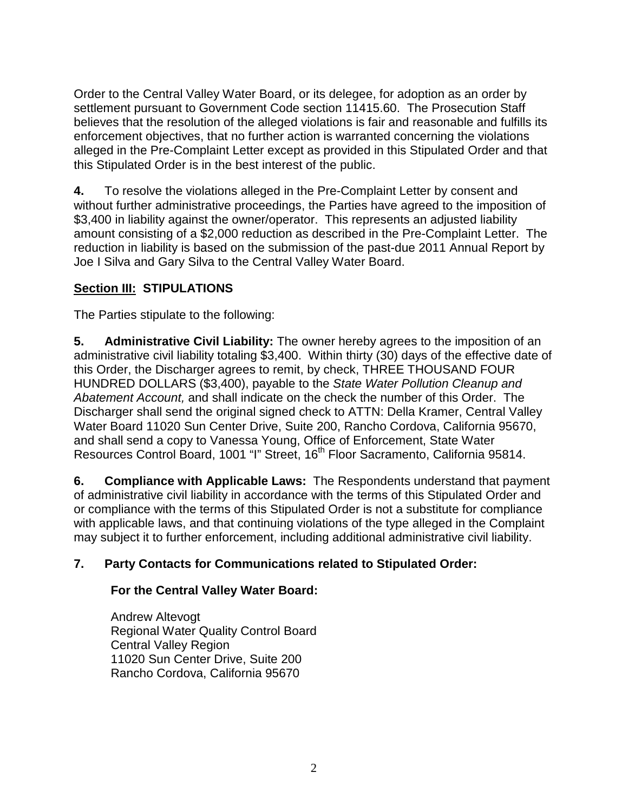Order to the Central Valley Water Board, or its delegee, for adoption as an order by settlement pursuant to Government Code section 11415.60. The Prosecution Staff believes that the resolution of the alleged violations is fair and reasonable and fulfills its enforcement objectives, that no further action is warranted concerning the violations alleged in the Pre-Complaint Letter except as provided in this Stipulated Order and that this Stipulated Order is in the best interest of the public.

**4.** To resolve the violations alleged in the Pre-Complaint Letter by consent and without further administrative proceedings, the Parties have agreed to the imposition of \$3,400 in liability against the owner/operator. This represents an adjusted liability amount consisting of a \$2,000 reduction as described in the Pre-Complaint Letter. The reduction in liability is based on the submission of the past-due 2011 Annual Report by Joe I Silva and Gary Silva to the Central Valley Water Board.

# **Section III: STIPULATIONS**

The Parties stipulate to the following:

**5. Administrative Civil Liability:** The owner hereby agrees to the imposition of an administrative civil liability totaling \$3,400. Within thirty (30) days of the effective date of this Order, the Discharger agrees to remit, by check, THREE THOUSAND FOUR HUNDRED DOLLARS (\$3,400), payable to the *State Water Pollution Cleanup and Abatement Account,* and shall indicate on the check the number of this Order. The Discharger shall send the original signed check to ATTN: Della Kramer, Central Valley Water Board 11020 Sun Center Drive, Suite 200, Rancho Cordova, California 95670, and shall send a copy to Vanessa Young, Office of Enforcement, State Water Resources Control Board, 1001 "I" Street, 16<sup>th</sup> Floor Sacramento, California 95814.

**6. Compliance with Applicable Laws:** The Respondents understand that payment of administrative civil liability in accordance with the terms of this Stipulated Order and or compliance with the terms of this Stipulated Order is not a substitute for compliance with applicable laws, and that continuing violations of the type alleged in the Complaint may subject it to further enforcement, including additional administrative civil liability.

# **7. Party Contacts for Communications related to Stipulated Order:**

## **For the Central Valley Water Board:**

Andrew Altevogt Regional Water Quality Control Board Central Valley Region 11020 Sun Center Drive, Suite 200 Rancho Cordova, California 95670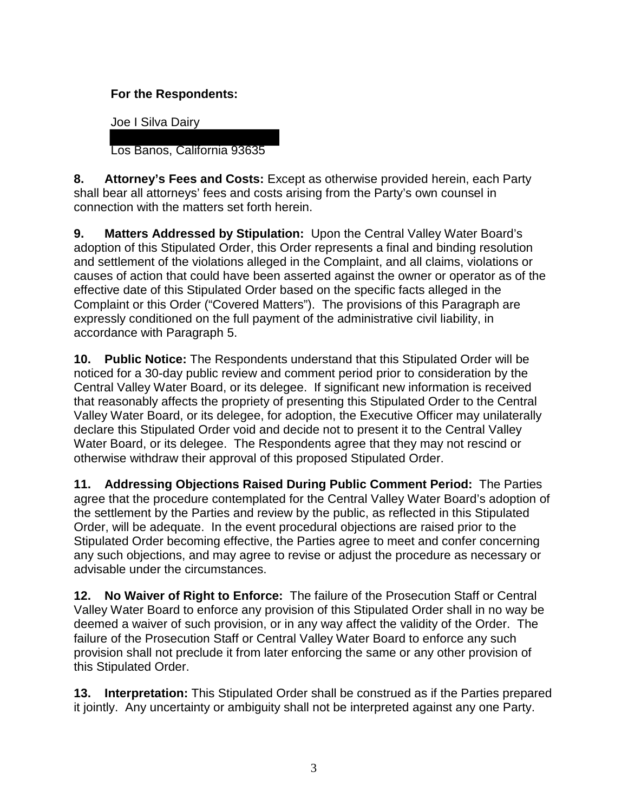# **For the Respondents:**

Joe I Silva Dairy

Los Banos, California 93635

**8. Attorney's Fees and Costs:** Except as otherwise provided herein, each Party shall bear all attorneys' fees and costs arising from the Party's own counsel in connection with the matters set forth herein.

**9. Matters Addressed by Stipulation:** Upon the Central Valley Water Board's adoption of this Stipulated Order, this Order represents a final and binding resolution and settlement of the violations alleged in the Complaint, and all claims, violations or causes of action that could have been asserted against the owner or operator as of the effective date of this Stipulated Order based on the specific facts alleged in the Complaint or this Order ("Covered Matters"). The provisions of this Paragraph are expressly conditioned on the full payment of the administrative civil liability, in accordance with Paragraph 5.

**10. Public Notice:** The Respondents understand that this Stipulated Order will be noticed for a 30-day public review and comment period prior to consideration by the Central Valley Water Board, or its delegee. If significant new information is received that reasonably affects the propriety of presenting this Stipulated Order to the Central Valley Water Board, or its delegee, for adoption, the Executive Officer may unilaterally declare this Stipulated Order void and decide not to present it to the Central Valley Water Board, or its delegee. The Respondents agree that they may not rescind or otherwise withdraw their approval of this proposed Stipulated Order.

**11. Addressing Objections Raised During Public Comment Period:** The Parties agree that the procedure contemplated for the Central Valley Water Board's adoption of the settlement by the Parties and review by the public, as reflected in this Stipulated Order, will be adequate. In the event procedural objections are raised prior to the Stipulated Order becoming effective, the Parties agree to meet and confer concerning any such objections, and may agree to revise or adjust the procedure as necessary or advisable under the circumstances.

**12. No Waiver of Right to Enforce:** The failure of the Prosecution Staff or Central Valley Water Board to enforce any provision of this Stipulated Order shall in no way be deemed a waiver of such provision, or in any way affect the validity of the Order. The failure of the Prosecution Staff or Central Valley Water Board to enforce any such provision shall not preclude it from later enforcing the same or any other provision of this Stipulated Order.

**13. Interpretation:** This Stipulated Order shall be construed as if the Parties prepared it jointly. Any uncertainty or ambiguity shall not be interpreted against any one Party.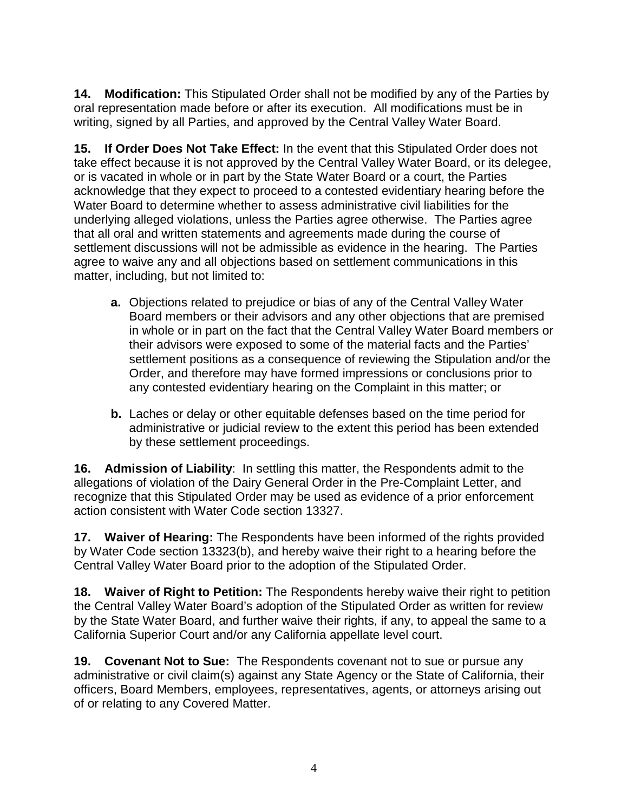**14. Modification:** This Stipulated Order shall not be modified by any of the Parties by oral representation made before or after its execution. All modifications must be in writing, signed by all Parties, and approved by the Central Valley Water Board.

**15. If Order Does Not Take Effect:** In the event that this Stipulated Order does not take effect because it is not approved by the Central Valley Water Board, or its delegee, or is vacated in whole or in part by the State Water Board or a court, the Parties acknowledge that they expect to proceed to a contested evidentiary hearing before the Water Board to determine whether to assess administrative civil liabilities for the underlying alleged violations, unless the Parties agree otherwise. The Parties agree that all oral and written statements and agreements made during the course of settlement discussions will not be admissible as evidence in the hearing. The Parties agree to waive any and all objections based on settlement communications in this matter, including, but not limited to:

- **a.** Objections related to prejudice or bias of any of the Central Valley Water Board members or their advisors and any other objections that are premised in whole or in part on the fact that the Central Valley Water Board members or their advisors were exposed to some of the material facts and the Parties' settlement positions as a consequence of reviewing the Stipulation and/or the Order, and therefore may have formed impressions or conclusions prior to any contested evidentiary hearing on the Complaint in this matter; or
- **b.** Laches or delay or other equitable defenses based on the time period for administrative or judicial review to the extent this period has been extended by these settlement proceedings.

**16. Admission of Liability**: In settling this matter, the Respondents admit to the allegations of violation of the Dairy General Order in the Pre-Complaint Letter, and recognize that this Stipulated Order may be used as evidence of a prior enforcement action consistent with Water Code section 13327.

**17. Waiver of Hearing:** The Respondents have been informed of the rights provided by Water Code section 13323(b), and hereby waive their right to a hearing before the Central Valley Water Board prior to the adoption of the Stipulated Order.

**18. Waiver of Right to Petition:** The Respondents hereby waive their right to petition the Central Valley Water Board's adoption of the Stipulated Order as written for review by the State Water Board, and further waive their rights, if any, to appeal the same to a California Superior Court and/or any California appellate level court.

**19. Covenant Not to Sue:** The Respondents covenant not to sue or pursue any administrative or civil claim(s) against any State Agency or the State of California, their officers, Board Members, employees, representatives, agents, or attorneys arising out of or relating to any Covered Matter.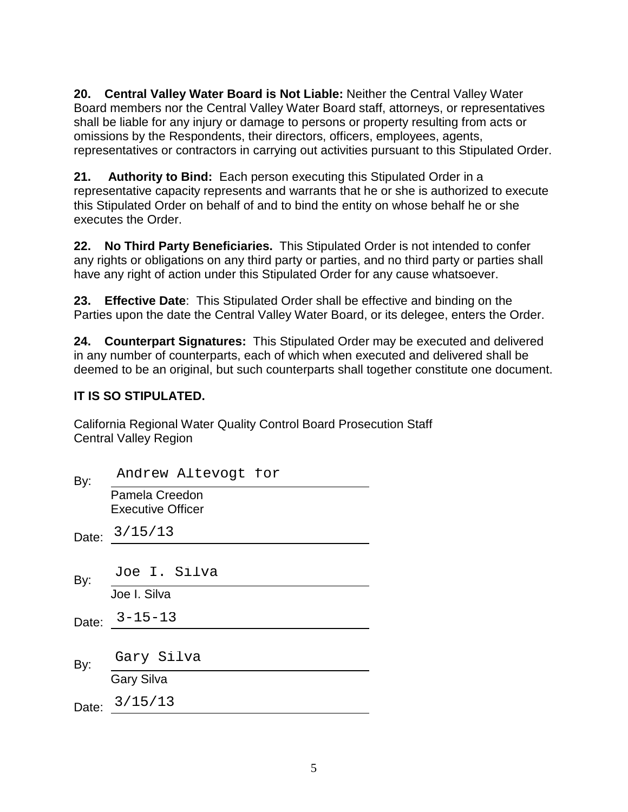**20. Central Valley Water Board is Not Liable:** Neither the Central Valley Water Board members nor the Central Valley Water Board staff, attorneys, or representatives shall be liable for any injury or damage to persons or property resulting from acts or omissions by the Respondents, their directors, officers, employees, agents, representatives or contractors in carrying out activities pursuant to this Stipulated Order.

**21. Authority to Bind:** Each person executing this Stipulated Order in a representative capacity represents and warrants that he or she is authorized to execute this Stipulated Order on behalf of and to bind the entity on whose behalf he or she executes the Order.

**22. No Third Party Beneficiaries.** This Stipulated Order is not intended to confer any rights or obligations on any third party or parties, and no third party or parties shall have any right of action under this Stipulated Order for any cause whatsoever.

**23. Effective Date**: This Stipulated Order shall be effective and binding on the Parties upon the date the Central Valley Water Board, or its delegee, enters the Order.

**24. Counterpart Signatures:** This Stipulated Order may be executed and delivered in any number of counterparts, each of which when executed and delivered shall be deemed to be an original, but such counterparts shall together constitute one document.

# **IT IS SO STIPULATED.**

California Regional Water Quality Control Board Prosecution Staff Central Valley Region

| By:   | Andrew Altevogt for                        |
|-------|--------------------------------------------|
|       | Pamela Creedon<br><b>Executive Officer</b> |
|       | Date: 3/15/13                              |
|       |                                            |
| By:   | Joe I. Silva                               |
|       | Joe I. Silva                               |
|       | Date: $3 - 15 - 13$                        |
|       |                                            |
| By:   | Gary Silva                                 |
|       | <b>Gary Silva</b>                          |
| Date: | 3/15/13                                    |
|       |                                            |